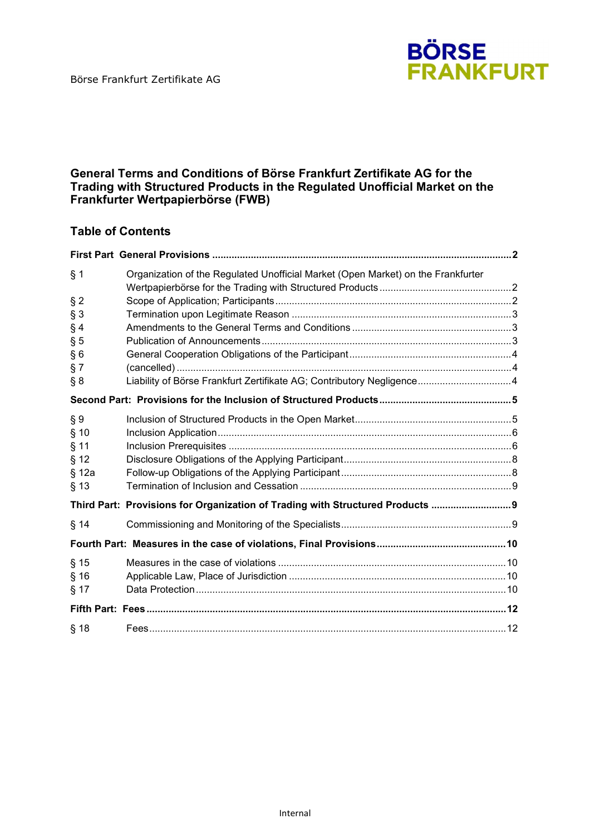

#### **General Terms and Conditions of Börse Frankfurt Zertifikate AG for the Trading with Structured Products in the Regulated Unofficial Market on the Frankfurter Wertpapierbörse (FWB)**

### **Table of Contents**

| Organization of the Regulated Unofficial Market (Open Market) on the Frankfurter |                                                                       |
|----------------------------------------------------------------------------------|-----------------------------------------------------------------------|
|                                                                                  |                                                                       |
|                                                                                  |                                                                       |
|                                                                                  |                                                                       |
|                                                                                  |                                                                       |
|                                                                                  |                                                                       |
|                                                                                  |                                                                       |
|                                                                                  |                                                                       |
|                                                                                  |                                                                       |
|                                                                                  |                                                                       |
|                                                                                  |                                                                       |
|                                                                                  |                                                                       |
|                                                                                  |                                                                       |
|                                                                                  |                                                                       |
|                                                                                  |                                                                       |
| Third Part: Provisions for Organization of Trading with Structured Products  9   |                                                                       |
|                                                                                  |                                                                       |
|                                                                                  |                                                                       |
|                                                                                  |                                                                       |
|                                                                                  |                                                                       |
|                                                                                  |                                                                       |
|                                                                                  |                                                                       |
|                                                                                  |                                                                       |
|                                                                                  | Liability of Börse Frankfurt Zertifikate AG; Contributory Negligence4 |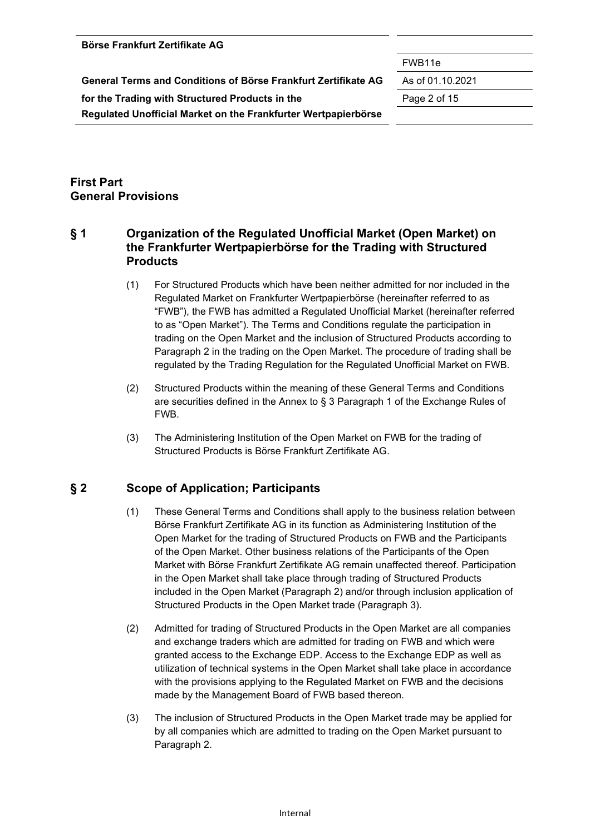| Börse Frankfurt Zertifikate AG |  |
|--------------------------------|--|
|--------------------------------|--|

FWB11e

**General Terms and Conditions of Börse Frankfurt Zertifikate AG** As of 01.10.2021

**for the Trading with Structured Products in the** Page 2 of 15

**Regulated Unofficial Market on the Frankfurter Wertpapierbörse** 

## **First Part General Provisions**

## **§ 1 Organization of the Regulated Unofficial Market (Open Market) on the Frankfurter Wertpapierbörse for the Trading with Structured Products**

- (1) For Structured Products which have been neither admitted for nor included in the Regulated Market on Frankfurter Wertpapierbörse (hereinafter referred to as "FWB"), the FWB has admitted a Regulated Unofficial Market (hereinafter referred to as "Open Market"). The Terms and Conditions regulate the participation in trading on the Open Market and the inclusion of Structured Products according to Paragraph 2 in the trading on the Open Market. The procedure of trading shall be regulated by the Trading Regulation for the Regulated Unofficial Market on FWB.
- (2) Structured Products within the meaning of these General Terms and Conditions are securities defined in the Annex to § 3 Paragraph 1 of the Exchange Rules of FWB.
- (3) The Administering Institution of the Open Market on FWB for the trading of Structured Products is Börse Frankfurt Zertifikate AG.

## **§ 2 Scope of Application; Participants**

- (1) These General Terms and Conditions shall apply to the business relation between Börse Frankfurt Zertifikate AG in its function as Administering Institution of the Open Market for the trading of Structured Products on FWB and the Participants of the Open Market. Other business relations of the Participants of the Open Market with Börse Frankfurt Zertifikate AG remain unaffected thereof. Participation in the Open Market shall take place through trading of Structured Products included in the Open Market (Paragraph 2) and/or through inclusion application of Structured Products in the Open Market trade (Paragraph 3).
- (2) Admitted for trading of Structured Products in the Open Market are all companies and exchange traders which are admitted for trading on FWB and which were granted access to the Exchange EDP. Access to the Exchange EDP as well as utilization of technical systems in the Open Market shall take place in accordance with the provisions applying to the Regulated Market on FWB and the decisions made by the Management Board of FWB based thereon.
- (3) The inclusion of Structured Products in the Open Market trade may be applied for by all companies which are admitted to trading on the Open Market pursuant to Paragraph 2.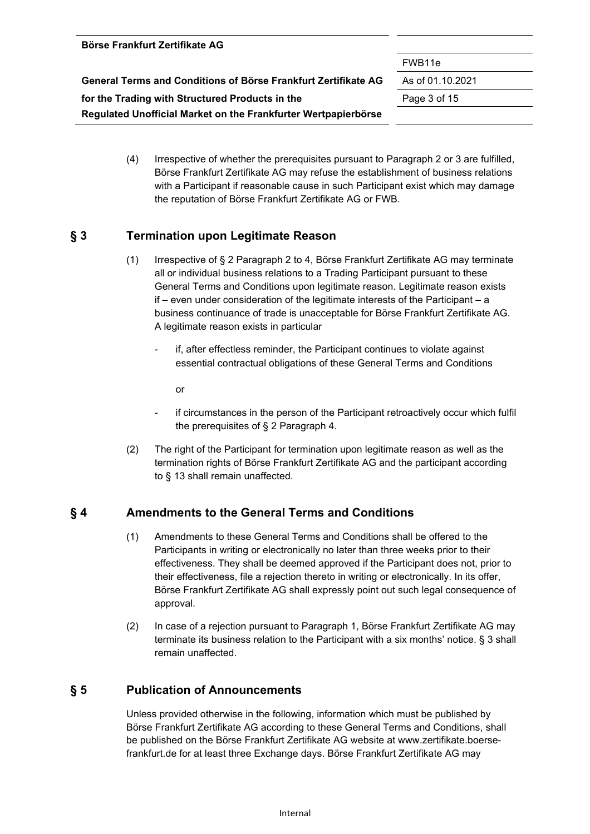| Börse Frankfurt Zertifikate AG                                 |                    |
|----------------------------------------------------------------|--------------------|
|                                                                | FWB <sub>11e</sub> |
| General Terms and Conditions of Börse Frankfurt Zertifikate AG | As of 01.10.2021   |
| for the Trading with Structured Products in the                | Page 3 of 15       |
| Regulated Unofficial Market on the Frankfurter Wertpapierbörse |                    |
|                                                                |                    |

(4) Irrespective of whether the prerequisites pursuant to Paragraph 2 or 3 are fulfilled, Börse Frankfurt Zertifikate AG may refuse the establishment of business relations with a Participant if reasonable cause in such Participant exist which may damage the reputation of Börse Frankfurt Zertifikate AG or FWB.

### **§ 3 Termination upon Legitimate Reason**

- (1) Irrespective of § 2 Paragraph 2 to 4, Börse Frankfurt Zertifikate AG may terminate all or individual business relations to a Trading Participant pursuant to these General Terms and Conditions upon legitimate reason. Legitimate reason exists if – even under consideration of the legitimate interests of the Participant – a business continuance of trade is unacceptable for Börse Frankfurt Zertifikate AG. A legitimate reason exists in particular
	- if, after effectless reminder, the Participant continues to violate against essential contractual obligations of these General Terms and Conditions

or

- if circumstances in the person of the Participant retroactively occur which fulfil the prerequisites of § 2 Paragraph 4.
- (2) The right of the Participant for termination upon legitimate reason as well as the termination rights of Börse Frankfurt Zertifikate AG and the participant according to § 13 shall remain unaffected.

#### **§ 4 Amendments to the General Terms and Conditions**

- (1) Amendments to these General Terms and Conditions shall be offered to the Participants in writing or electronically no later than three weeks prior to their effectiveness. They shall be deemed approved if the Participant does not, prior to their effectiveness, file a rejection thereto in writing or electronically. In its offer, Börse Frankfurt Zertifikate AG shall expressly point out such legal consequence of approval.
- (2) In case of a rejection pursuant to Paragraph 1, Börse Frankfurt Zertifikate AG may terminate its business relation to the Participant with a six months' notice. § 3 shall remain unaffected.

## **§ 5 Publication of Announcements**

Unless provided otherwise in the following, information which must be published by Börse Frankfurt Zertifikate AG according to these General Terms and Conditions, shall be published on the Börse Frankfurt Zertifikate AG website at www.zertifikate.boersefrankfurt.de for at least three Exchange days. Börse Frankfurt Zertifikate AG may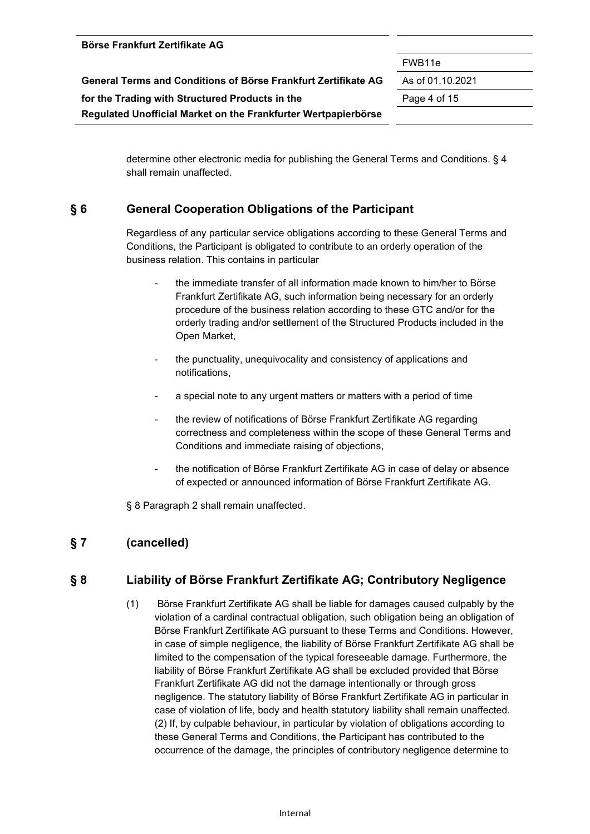|                                                                | FWB <sub>11e</sub> |
|----------------------------------------------------------------|--------------------|
| General Terms and Conditions of Börse Frankfurt Zertifikate AG | As of 01.10.2021   |
| for the Trading with Structured Products in the                | Page 4 of 15       |
| Regulated Unofficial Market on the Frankfurter Wertpapierbörse |                    |

determine other electronic media for publishing the General Terms and Conditions. § 4 shall remain unaffected.

#### **§ 6 General Cooperation Obligations of the Participant**

Regardless of any particular service obligations according to these General Terms and Conditions, the Participant is obligated to contribute to an orderly operation of the business relation. This contains in particular

- the immediate transfer of all information made known to him/her to Börse Frankfurt Zertifikate AG, such information being necessary for an orderly procedure of the business relation according to these GTC and/or for the orderly trading and/or settlement of the Structured Products included in the Open Market,
- the punctuality, unequivocality and consistency of applications and notifications,
- a special note to any urgent matters or matters with a period of time
- the review of notifications of Börse Frankfurt Zertifikate AG regarding correctness and completeness within the scope of these General Terms and Conditions and immediate raising of objections,
- the notification of Börse Frankfurt Zertifikate AG in case of delay or absence of expected or announced information of Börse Frankfurt Zertifikate AG.

§ 8 Paragraph 2 shall remain unaffected.

## **§ 7 (cancelled)**

**Börse Frankfurt Zertifikate AG** 

#### **§ 8 Liability of Börse Frankfurt Zertifikate AG; Contributory Negligence**

(1) Börse Frankfurt Zertifikate AG shall be liable for damages caused culpably by the violation of a cardinal contractual obligation, such obligation being an obligation of Börse Frankfurt Zertifikate AG pursuant to these Terms and Conditions. However, in case of simple negligence, the liability of Börse Frankfurt Zertifikate AG shall be limited to the compensation of the typical foreseeable damage. Furthermore, the liability of Börse Frankfurt Zertifikate AG shall be excluded provided that Börse Frankfurt Zertifikate AG did not the damage intentionally or through gross negligence. The statutory liability of Börse Frankfurt Zertifikate AG in particular in case of violation of life, body and health statutory liability shall remain unaffected. (2) If, by culpable behaviour, in particular by violation of obligations according to these General Terms and Conditions, the Participant has contributed to the occurrence of the damage, the principles of contributory negligence determine to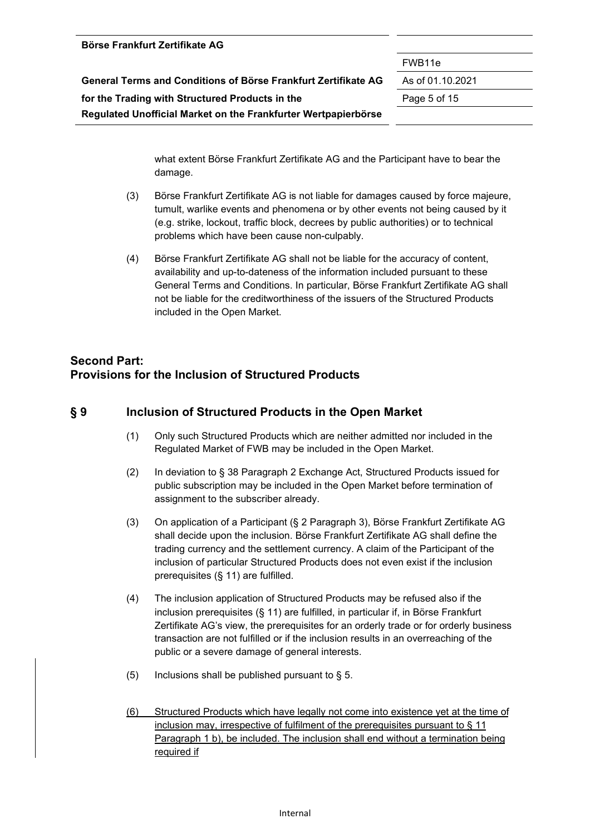| Börse Frankfurt Zertifikate AG                                 |                    |
|----------------------------------------------------------------|--------------------|
|                                                                | FWB <sub>11e</sub> |
| General Terms and Conditions of Börse Frankfurt Zertifikate AG | As of 01.10.2021   |
| for the Trading with Structured Products in the                | Page 5 of 15       |
| Regulated Unofficial Market on the Frankfurter Wertpapierbörse |                    |

what extent Börse Frankfurt Zertifikate AG and the Participant have to bear the damage.

- (3) Börse Frankfurt Zertifikate AG is not liable for damages caused by force majeure, tumult, warlike events and phenomena or by other events not being caused by it (e.g. strike, lockout, traffic block, decrees by public authorities) or to technical problems which have been cause non-culpably.
- (4) Börse Frankfurt Zertifikate AG shall not be liable for the accuracy of content, availability and up-to-dateness of the information included pursuant to these General Terms and Conditions. In particular, Börse Frankfurt Zertifikate AG shall not be liable for the creditworthiness of the issuers of the Structured Products included in the Open Market.

## **Second Part: Provisions for the Inclusion of Structured Products**

#### **§ 9 Inclusion of Structured Products in the Open Market**

- (1) Only such Structured Products which are neither admitted nor included in the Regulated Market of FWB may be included in the Open Market.
- (2) In deviation to § 38 Paragraph 2 Exchange Act, Structured Products issued for public subscription may be included in the Open Market before termination of assignment to the subscriber already.
- (3) On application of a Participant (§ 2 Paragraph 3), Börse Frankfurt Zertifikate AG shall decide upon the inclusion. Börse Frankfurt Zertifikate AG shall define the trading currency and the settlement currency. A claim of the Participant of the inclusion of particular Structured Products does not even exist if the inclusion prerequisites (§ 11) are fulfilled.
- (4) The inclusion application of Structured Products may be refused also if the inclusion prerequisites (§ 11) are fulfilled, in particular if, in Börse Frankfurt Zertifikate AG's view, the prerequisites for an orderly trade or for orderly business transaction are not fulfilled or if the inclusion results in an overreaching of the public or a severe damage of general interests.
- (5) Inclusions shall be published pursuant to  $\S$  5.
- (6) Structured Products which have legally not come into existence yet at the time of inclusion may, irrespective of fulfilment of the prerequisites pursuant to § 11 Paragraph 1 b), be included. The inclusion shall end without a termination being required if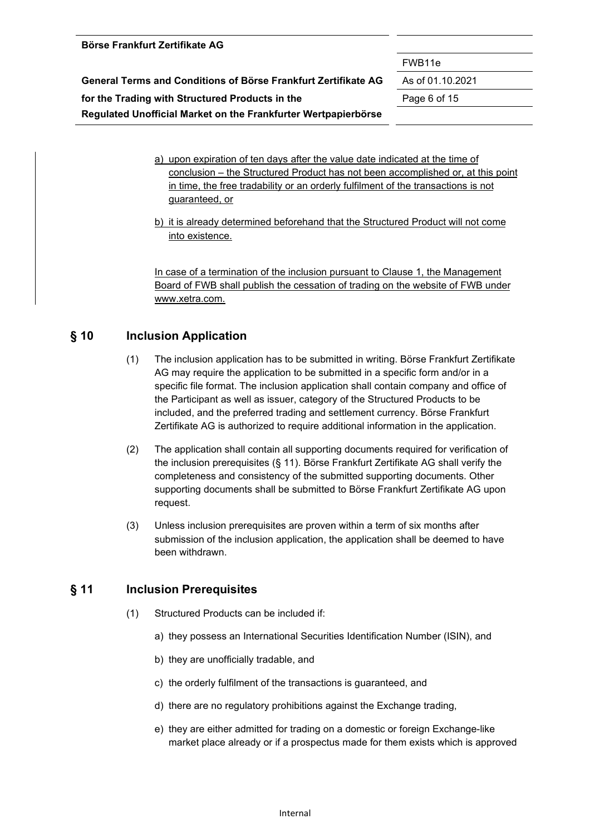|  |  | Börse Frankfurt Zertifikate AG |  |
|--|--|--------------------------------|--|
|--|--|--------------------------------|--|

FWB11e

**General Terms and Conditions of Börse Frankfurt Zertifikate AG** As of 01.10.2021 **for the Trading with Structured Products in the** Page 6 of 15

**Regulated Unofficial Market on the Frankfurter Wertpapierbörse** 

- a) upon expiration of ten days after the value date indicated at the time of conclusion – the Structured Product has not been accomplished or, at this point in time, the free tradability or an orderly fulfilment of the transactions is not guaranteed, or
- b) it is already determined beforehand that the Structured Product will not come into existence.

In case of a termination of the inclusion pursuant to Clause 1, the Management Board of FWB shall publish the cessation of trading on the website of FWB under www.xetra.com.

### **§ 10 Inclusion Application**

- (1) The inclusion application has to be submitted in writing. Börse Frankfurt Zertifikate AG may require the application to be submitted in a specific form and/or in a specific file format. The inclusion application shall contain company and office of the Participant as well as issuer, category of the Structured Products to be included, and the preferred trading and settlement currency. Börse Frankfurt Zertifikate AG is authorized to require additional information in the application.
- (2) The application shall contain all supporting documents required for verification of the inclusion prerequisites (§ 11). Börse Frankfurt Zertifikate AG shall verify the completeness and consistency of the submitted supporting documents. Other supporting documents shall be submitted to Börse Frankfurt Zertifikate AG upon request.
- (3) Unless inclusion prerequisites are proven within a term of six months after submission of the inclusion application, the application shall be deemed to have been withdrawn.

#### **§ 11 Inclusion Prerequisites**

- (1) Structured Products can be included if:
	- a) they possess an International Securities Identification Number (ISIN), and
	- b) they are unofficially tradable, and
	- c) the orderly fulfilment of the transactions is guaranteed, and
	- d) there are no regulatory prohibitions against the Exchange trading,
	- e) they are either admitted for trading on a domestic or foreign Exchange-like market place already or if a prospectus made for them exists which is approved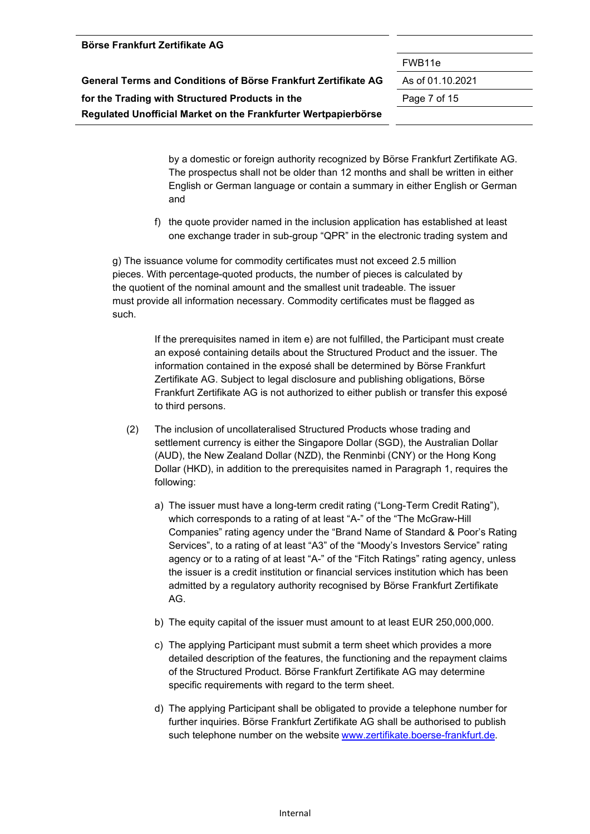# Internal

| <b>BUISE FIAIINIUIL LEI UIINALE AU</b> |  |
|----------------------------------------|--|
|                                        |  |
|                                        |  |
|                                        |  |

**Börse Frankfurt Zertifikate AG** 

FWB11e

| General Terms and Conditions of Borse Frankfurt Zertifikate AG |
|----------------------------------------------------------------|
| for the Trading with Structured Products in the                |
| Regulated Unofficial Market on the Frankfurter Wertpapierbörse |

**General Terms and Conditions of Börse Frankfurt Zertifikate AG** As of 01.10.2021

**for the Trading with Structured Products in the** Page 7 of 15

by a domestic or foreign authority recognized by Börse Frankfurt Zertifikate AG. The prospectus shall not be older than 12 months and shall be written in either English or German language or contain a summary in either English or German and

f) the quote provider named in the inclusion application has established at least one exchange trader in sub-group "QPR" in the electronic trading system and

g) The issuance volume for commodity certificates must not exceed 2.5 million pieces. With percentage-quoted products, the number of pieces is calculated by the quotient of the nominal amount and the smallest unit tradeable. The issuer must provide all information necessary. Commodity certificates must be flagged as such.

> If the prerequisites named in item e) are not fulfilled, the Participant must create an exposé containing details about the Structured Product and the issuer. The information contained in the exposé shall be determined by Börse Frankfurt Zertifikate AG. Subject to legal disclosure and publishing obligations, Börse Frankfurt Zertifikate AG is not authorized to either publish or transfer this exposé to third persons.

- (2) The inclusion of uncollateralised Structured Products whose trading and settlement currency is either the Singapore Dollar (SGD), the Australian Dollar (AUD), the New Zealand Dollar (NZD), the Renminbi (CNY) or the Hong Kong Dollar (HKD), in addition to the prerequisites named in Paragraph 1, requires the following:
	- a) The issuer must have a long-term credit rating ("Long-Term Credit Rating"), which corresponds to a rating of at least "A-" of the "The McGraw-Hill Companies" rating agency under the "Brand Name of Standard & Poor's Rating Services", to a rating of at least "A3" of the "Moody's Investors Service" rating agency or to a rating of at least "A-" of the "Fitch Ratings" rating agency, unless the issuer is a credit institution or financial services institution which has been admitted by a regulatory authority recognised by Börse Frankfurt Zertifikate AG.
	- b) The equity capital of the issuer must amount to at least EUR 250,000,000.
	- c) The applying Participant must submit a term sheet which provides a more detailed description of the features, the functioning and the repayment claims of the Structured Product. Börse Frankfurt Zertifikate AG may determine specific requirements with regard to the term sheet.
	- d) The applying Participant shall be obligated to provide a telephone number for further inquiries. Börse Frankfurt Zertifikate AG shall be authorised to publish such telephone number on the website www.zertifikate.boerse-frankfurt.de.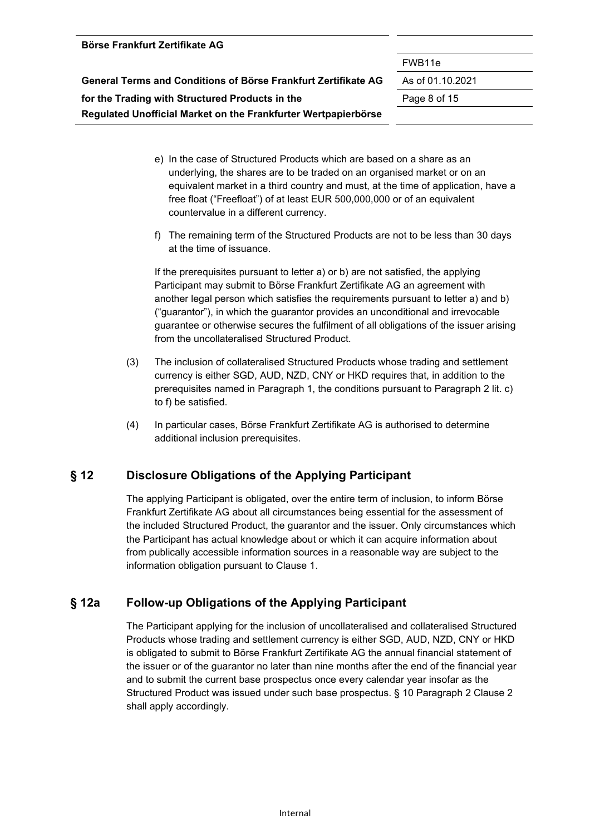| DOISE FIAIIKIUIL ZEILIIKALE AU                                 |                    |
|----------------------------------------------------------------|--------------------|
|                                                                | FWB <sub>11e</sub> |
| General Terms and Conditions of Börse Frankfurt Zertifikate AG | As of 01.10.2021   |
| for the Trading with Structured Products in the                | Page 8 of 15       |
| Regulated Unofficial Market on the Frankfurter Wertpapierbörse |                    |

**Börse Frankfurt Zertifikate AG** 

- e) In the case of Structured Products which are based on a share as an underlying, the shares are to be traded on an organised market or on an equivalent market in a third country and must, at the time of application, have a free float ("Freefloat") of at least EUR 500,000,000 or of an equivalent countervalue in a different currency.
- f) The remaining term of the Structured Products are not to be less than 30 days at the time of issuance.

If the prerequisites pursuant to letter a) or b) are not satisfied, the applying Participant may submit to Börse Frankfurt Zertifikate AG an agreement with another legal person which satisfies the requirements pursuant to letter a) and b) ("guarantor"), in which the guarantor provides an unconditional and irrevocable guarantee or otherwise secures the fulfilment of all obligations of the issuer arising from the uncollateralised Structured Product.

- (3) The inclusion of collateralised Structured Products whose trading and settlement currency is either SGD, AUD, NZD, CNY or HKD requires that, in addition to the prerequisites named in Paragraph 1, the conditions pursuant to Paragraph 2 lit. c) to f) be satisfied.
- (4) In particular cases, Börse Frankfurt Zertifikate AG is authorised to determine additional inclusion prerequisites.

## **§ 12 Disclosure Obligations of the Applying Participant**

The applying Participant is obligated, over the entire term of inclusion, to inform Börse Frankfurt Zertifikate AG about all circumstances being essential for the assessment of the included Structured Product, the guarantor and the issuer. Only circumstances which the Participant has actual knowledge about or which it can acquire information about from publically accessible information sources in a reasonable way are subject to the information obligation pursuant to Clause 1.

#### **§ 12a Follow-up Obligations of the Applying Participant**

The Participant applying for the inclusion of uncollateralised and collateralised Structured Products whose trading and settlement currency is either SGD, AUD, NZD, CNY or HKD is obligated to submit to Börse Frankfurt Zertifikate AG the annual financial statement of the issuer or of the guarantor no later than nine months after the end of the financial year and to submit the current base prospectus once every calendar year insofar as the Structured Product was issued under such base prospectus. § 10 Paragraph 2 Clause 2 shall apply accordingly.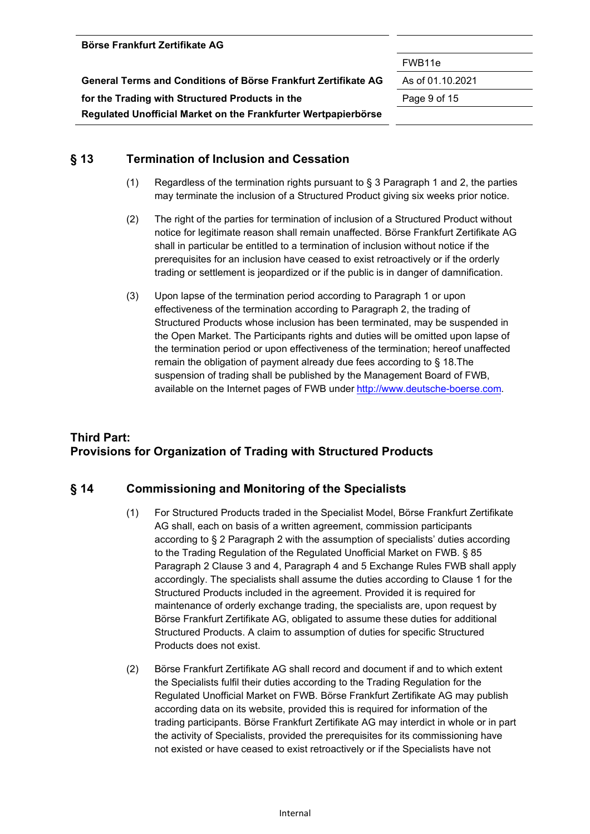| (1)    | Regardless of the termination rights pursuant to $\S$ 3 Paragraph 1 and 2, the parties  |
|--------|-----------------------------------------------------------------------------------------|
|        | may terminate the inclusion of a Structured Product giving six weeks prior notice.      |
| $\sim$ | The sight of the section for to recipetion of including of a Ctrustuped Draduat without |

**Regulated Unofficial Market on the Frankfurter Wertpapierbörse** 

**§ 13 Termination of Inclusion and Cessation** 

- (2) The right of the parties for termination of inclusion of a Structured Product without notice for legitimate reason shall remain unaffected. Börse Frankfurt Zertifikate AG shall in particular be entitled to a termination of inclusion without notice if the prerequisites for an inclusion have ceased to exist retroactively or if the orderly trading or settlement is jeopardized or if the public is in danger of damnification.
- (3) Upon lapse of the termination period according to Paragraph 1 or upon effectiveness of the termination according to Paragraph 2, the trading of Structured Products whose inclusion has been terminated, may be suspended in the Open Market. The Participants rights and duties will be omitted upon lapse of the termination period or upon effectiveness of the termination; hereof unaffected remain the obligation of payment already due fees according to § 18.The suspension of trading shall be published by the Management Board of FWB, available on the Internet pages of FWB under http://www.deutsche-boerse.com.

## **Third Part: Provisions for Organization of Trading with Structured Products**

#### **§ 14 Commissioning and Monitoring of the Specialists**

- (1) For Structured Products traded in the Specialist Model, Börse Frankfurt Zertifikate AG shall, each on basis of a written agreement, commission participants according to § 2 Paragraph 2 with the assumption of specialists' duties according to the Trading Regulation of the Regulated Unofficial Market on FWB. § 85 Paragraph 2 Clause 3 and 4, Paragraph 4 and 5 Exchange Rules FWB shall apply accordingly. The specialists shall assume the duties according to Clause 1 for the Structured Products included in the agreement. Provided it is required for maintenance of orderly exchange trading, the specialists are, upon request by Börse Frankfurt Zertifikate AG, obligated to assume these duties for additional Structured Products. A claim to assumption of duties for specific Structured Products does not exist.
- (2) Börse Frankfurt Zertifikate AG shall record and document if and to which extent the Specialists fulfil their duties according to the Trading Regulation for the Regulated Unofficial Market on FWB. Börse Frankfurt Zertifikate AG may publish according data on its website, provided this is required for information of the trading participants. Börse Frankfurt Zertifikate AG may interdict in whole or in part the activity of Specialists, provided the prerequisites for its commissioning have not existed or have ceased to exist retroactively or if the Specialists have not

FWB11e

**General Terms and Conditions of Börse Frankfurt Zertifikate AG** As of 01.10.2021

**for the Trading with Structured Products in the** Page 9 of 15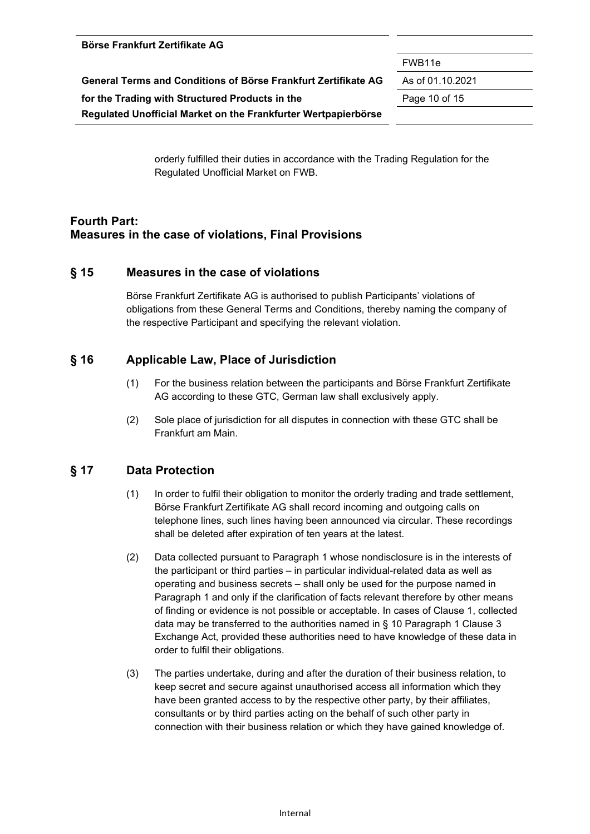| <b>DUISE LIGHNIULL LEI UIKALE AU</b>                           |                    |
|----------------------------------------------------------------|--------------------|
|                                                                | FWB <sub>11e</sub> |
| General Terms and Conditions of Börse Frankfurt Zertifikate AG | As of 01.10.2021   |
| for the Trading with Structured Products in the                | Page 10 of 15      |
| Regulated Unofficial Market on the Frankfurter Wertpapierbörse |                    |

orderly fulfilled their duties in accordance with the Trading Regulation for the Regulated Unofficial Market on FWB.

## **Fourth Part: Measures in the case of violations, Final Provisions**

#### **§ 15 Measures in the case of violations**

**Börse Frankfurt Zertifikate AG** 

Börse Frankfurt Zertifikate AG is authorised to publish Participants' violations of obligations from these General Terms and Conditions, thereby naming the company of the respective Participant and specifying the relevant violation.

#### **§ 16 Applicable Law, Place of Jurisdiction**

- (1) For the business relation between the participants and Börse Frankfurt Zertifikate AG according to these GTC, German law shall exclusively apply.
- (2) Sole place of jurisdiction for all disputes in connection with these GTC shall be Frankfurt am Main.

#### **§ 17 Data Protection**

- (1) In order to fulfil their obligation to monitor the orderly trading and trade settlement, Börse Frankfurt Zertifikate AG shall record incoming and outgoing calls on telephone lines, such lines having been announced via circular. These recordings shall be deleted after expiration of ten years at the latest.
- (2) Data collected pursuant to Paragraph 1 whose nondisclosure is in the interests of the participant or third parties – in particular individual-related data as well as operating and business secrets – shall only be used for the purpose named in Paragraph 1 and only if the clarification of facts relevant therefore by other means of finding or evidence is not possible or acceptable. In cases of Clause 1, collected data may be transferred to the authorities named in § 10 Paragraph 1 Clause 3 Exchange Act, provided these authorities need to have knowledge of these data in order to fulfil their obligations.
- (3) The parties undertake, during and after the duration of their business relation, to keep secret and secure against unauthorised access all information which they have been granted access to by the respective other party, by their affiliates, consultants or by third parties acting on the behalf of such other party in connection with their business relation or which they have gained knowledge of.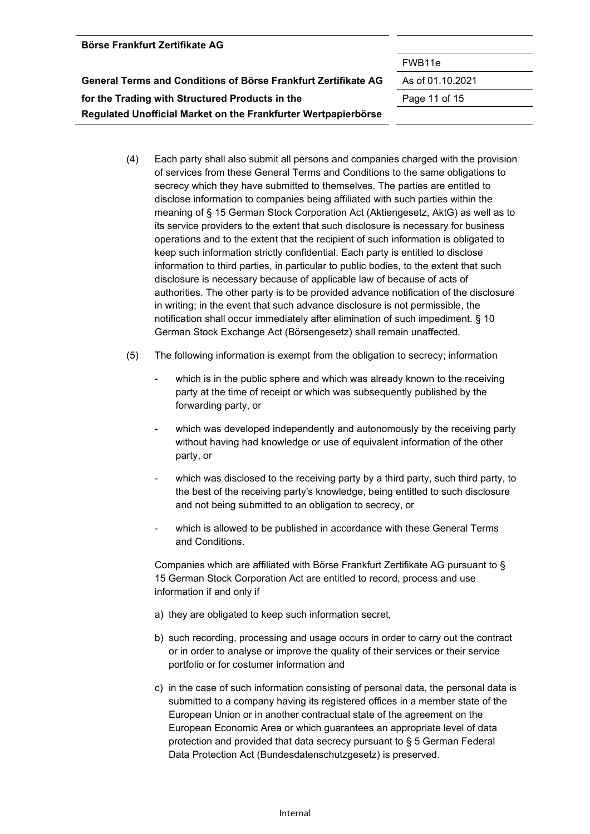| <b>Börse Frankfurt Zertifikate AG</b>                          |                  |
|----------------------------------------------------------------|------------------|
|                                                                | FWB11e           |
| General Terms and Conditions of Börse Frankfurt Zertifikate AG | As of 01.10.2021 |
| for the Trading with Structured Products in the                | Page 11 of 15    |
| Regulated Unofficial Market on the Frankfurter Wertpapierbörse |                  |
|                                                                |                  |

- (4) Each party shall also submit all persons and companies charged with the provision of services from these General Terms and Conditions to the same obligations to secrecy which they have submitted to themselves. The parties are entitled to disclose information to companies being affiliated with such parties within the meaning of § 15 German Stock Corporation Act (Aktiengesetz, AktG) as well as to its service providers to the extent that such disclosure is necessary for business operations and to the extent that the recipient of such information is obligated to keep such information strictly confidential. Each party is entitled to disclose information to third parties, in particular to public bodies, to the extent that such disclosure is necessary because of applicable law of because of acts of authorities. The other party is to be provided advance notification of the disclosure in writing; in the event that such advance disclosure is not permissible, the notification shall occur immediately after elimination of such impediment. § 10 German Stock Exchange Act (Börsengesetz) shall remain unaffected.
- (5) The following information is exempt from the obligation to secrecy; information
	- which is in the public sphere and which was already known to the receiving party at the time of receipt or which was subsequently published by the forwarding party, or
	- which was developed independently and autonomously by the receiving party without having had knowledge or use of equivalent information of the other party, or
	- which was disclosed to the receiving party by a third party, such third party, to the best of the receiving party's knowledge, being entitled to such disclosure and not being submitted to an obligation to secrecy, or
	- which is allowed to be published in accordance with these General Terms and Conditions.

Companies which are affiliated with Börse Frankfurt Zertifikate AG pursuant to § 15 German Stock Corporation Act are entitled to record, process and use information if and only if

- a) they are obligated to keep such information secret,
- b) such recording, processing and usage occurs in order to carry out the contract or in order to analyse or improve the quality of their services or their service portfolio or for costumer information and
- c) in the case of such information consisting of personal data, the personal data is submitted to a company having its registered offices in a member state of the European Union or in another contractual state of the agreement on the European Economic Area or which guarantees an appropriate level of data protection and provided that data secrecy pursuant to § 5 German Federal Data Protection Act (Bundesdatenschutzgesetz) is preserved.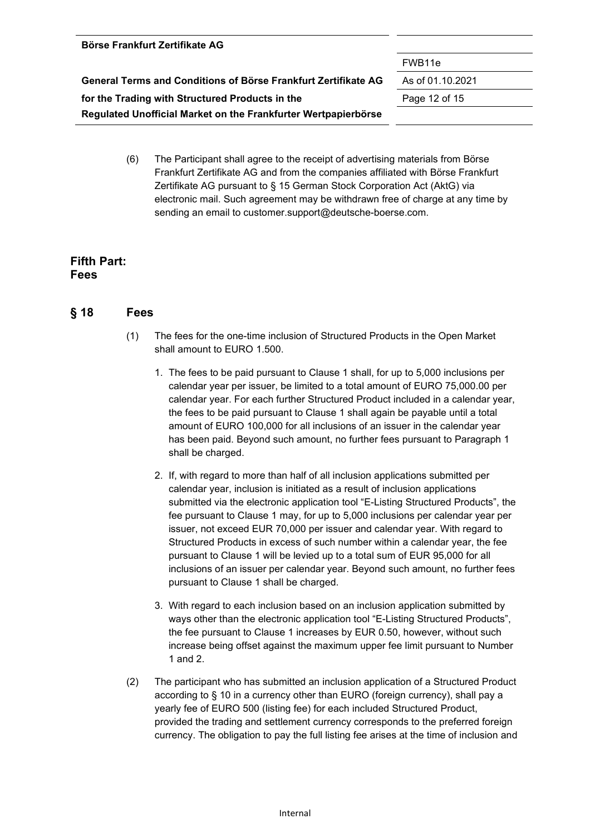| Börse Frankfurt Zertifikate AG                                 |                    |
|----------------------------------------------------------------|--------------------|
|                                                                | FWB <sub>11e</sub> |
| General Terms and Conditions of Börse Frankfurt Zertifikate AG | As of 01.10.2021   |
| for the Trading with Structured Products in the                | Page 12 of 15      |
| Regulated Unofficial Market on the Frankfurter Wertpapierbörse |                    |
|                                                                |                    |

(6) The Participant shall agree to the receipt of advertising materials from Börse Frankfurt Zertifikate AG and from the companies affiliated with Börse Frankfurt Zertifikate AG pursuant to § 15 German Stock Corporation Act (AktG) via electronic mail. Such agreement may be withdrawn free of charge at any time by sending an email to customer.support@deutsche-boerse.com.

#### **Fifth Part: Fees**

#### **§ 18 Fees**

- (1) The fees for the one-time inclusion of Structured Products in the Open Market shall amount to EURO 1.500.
	- 1. The fees to be paid pursuant to Clause 1 shall, for up to 5,000 inclusions per calendar year per issuer, be limited to a total amount of EURO 75,000.00 per calendar year. For each further Structured Product included in a calendar year, the fees to be paid pursuant to Clause 1 shall again be payable until a total amount of EURO 100,000 for all inclusions of an issuer in the calendar year has been paid. Beyond such amount, no further fees pursuant to Paragraph 1 shall be charged.
	- 2. If, with regard to more than half of all inclusion applications submitted per calendar year, inclusion is initiated as a result of inclusion applications submitted via the electronic application tool "E-Listing Structured Products", the fee pursuant to Clause 1 may, for up to 5,000 inclusions per calendar year per issuer, not exceed EUR 70,000 per issuer and calendar year. With regard to Structured Products in excess of such number within a calendar year, the fee pursuant to Clause 1 will be levied up to a total sum of EUR 95,000 for all inclusions of an issuer per calendar year. Beyond such amount, no further fees pursuant to Clause 1 shall be charged.
	- 3. With regard to each inclusion based on an inclusion application submitted by ways other than the electronic application tool "E-Listing Structured Products", the fee pursuant to Clause 1 increases by EUR 0.50, however, without such increase being offset against the maximum upper fee limit pursuant to Number 1 and 2.
- (2) The participant who has submitted an inclusion application of a Structured Product according to § 10 in a currency other than EURO (foreign currency), shall pay a yearly fee of EURO 500 (listing fee) for each included Structured Product, provided the trading and settlement currency corresponds to the preferred foreign currency. The obligation to pay the full listing fee arises at the time of inclusion and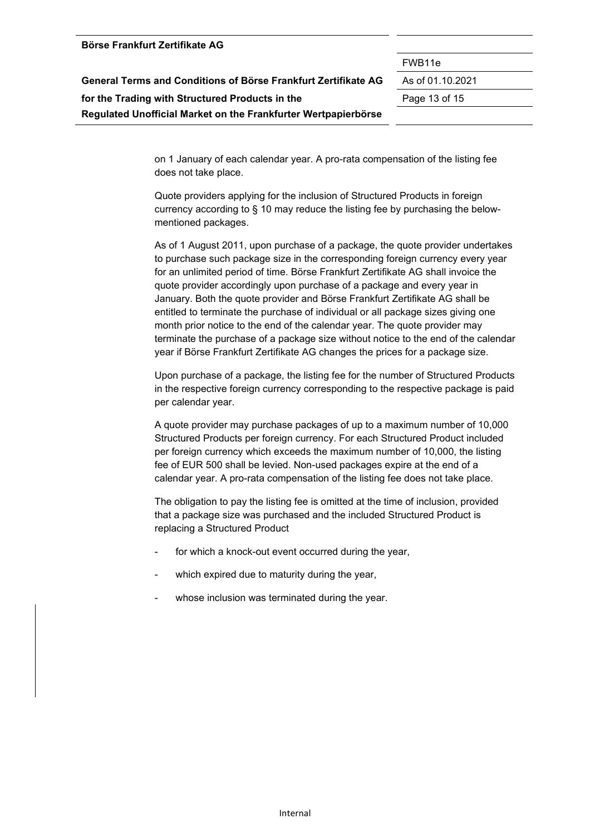| Börse Frankfurt Zertifikate AG                                 |                    |
|----------------------------------------------------------------|--------------------|
|                                                                | FWB <sub>11e</sub> |
| General Terms and Conditions of Börse Frankfurt Zertifikate AG | As of 01.10.2021   |
| for the Trading with Structured Products in the                | Page 13 of 15      |
| Regulated Unofficial Market on the Frankfurter Wertpapierbörse |                    |

on 1 January of each calendar year. A pro-rata compensation of the listing fee does not take place.

Quote providers applying for the inclusion of Structured Products in foreign currency according to § 10 may reduce the listing fee by purchasing the belowmentioned packages.

As of 1 August 2011, upon purchase of a package, the quote provider undertakes to purchase such package size in the corresponding foreign currency every year for an unlimited period of time. Börse Frankfurt Zertifikate AG shall invoice the quote provider accordingly upon purchase of a package and every year in January. Both the quote provider and Börse Frankfurt Zertifikate AG shall be entitled to terminate the purchase of individual or all package sizes giving one month prior notice to the end of the calendar year. The quote provider may terminate the purchase of a package size without notice to the end of the calendar year if Börse Frankfurt Zertifikate AG changes the prices for a package size.

Upon purchase of a package, the listing fee for the number of Structured Products in the respective foreign currency corresponding to the respective package is paid per calendar year.

A quote provider may purchase packages of up to a maximum number of 10,000 Structured Products per foreign currency. For each Structured Product included per foreign currency which exceeds the maximum number of 10,000, the listing fee of EUR 500 shall be levied. Non-used packages expire at the end of a calendar year. A pro-rata compensation of the listing fee does not take place.

The obligation to pay the listing fee is omitted at the time of inclusion, provided that a package size was purchased and the included Structured Product is replacing a Structured Product

- for which a knock-out event occurred during the year,
- which expired due to maturity during the year,
- whose inclusion was terminated during the year.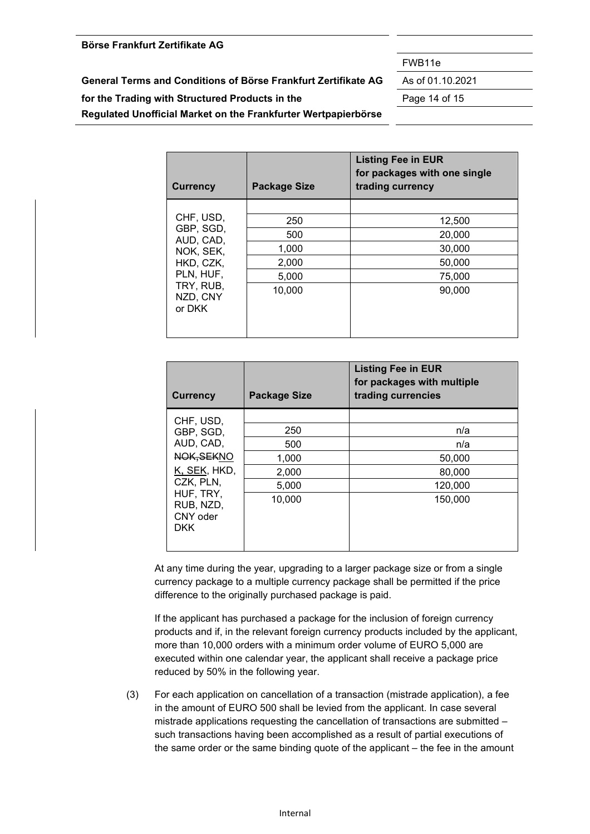#### **Börse Frankfurt Zertifikate AG**

**for the Trading with Structured Products in the** Page 14 of 15

**Regulated Unofficial Market on the Frankfurter Wertpapierbörse** 

**Currency Package Size** 

CHE, USD

| <b>Currency</b>                 | <b>Package Size</b> | <b>Listing Fee in EUR</b><br>for packages with one single<br>trading currency |
|---------------------------------|---------------------|-------------------------------------------------------------------------------|
|                                 |                     |                                                                               |
| CHF, USD,                       | 250                 | 12,500                                                                        |
| GBP, SGD,<br>AUD, CAD,          | 500                 | 20,000                                                                        |
| NOK, SEK,                       | 1,000               | 30,000                                                                        |
| HKD, CZK,                       | 2,000               | 50,000                                                                        |
| PLN, HUF,                       | 5,000               | 75,000                                                                        |
| TRY, RUB,<br>NZD, CNY<br>or DKK | 10,000              | 90,000                                                                        |

**Listing Fee in EUR** 

**trading currencies** 

**for packages with multiple** 

| ◡᠁. ◡◡◡.<br>GBP, SGD,                            | 250    | n/a                                                                              |
|--------------------------------------------------|--------|----------------------------------------------------------------------------------|
| AUD, CAD,                                        | 500    | n/a                                                                              |
| NOK, SEKNO                                       | 1,000  | 50,000                                                                           |
| K, SEK, HKD,                                     | 2,000  | 80,000                                                                           |
| CZK, PLN,                                        | 5,000  | 120,000                                                                          |
| HUF, TRY,<br>RUB, NZD,<br>CNY oder<br><b>DKK</b> | 10,000 | 150,000                                                                          |
|                                                  |        | At any time during the year, upgrading to a larger package size or from a single |

currency package to a multiple currency package shall be permitted if the price difference to the originally purchased package is paid.

If the applicant has purchased a package for the inclusion of foreign currency products and if, in the relevant foreign currency products included by the applicant, more than 10,000 orders with a minimum order volume of EURO 5,000 are executed within one calendar year, the applicant shall receive a package price reduced by 50% in the following year.

(3) For each application on cancellation of a transaction (mistrade application), a fee in the amount of EURO 500 shall be levied from the applicant. In case several mistrade applications requesting the cancellation of transactions are submitted – such transactions having been accomplished as a result of partial executions of the same order or the same binding quote of the applicant – the fee in the amount

FWB11e

**General Terms and Conditions of Börse Frankfurt Zertifikate AG** As of 01.10.2021